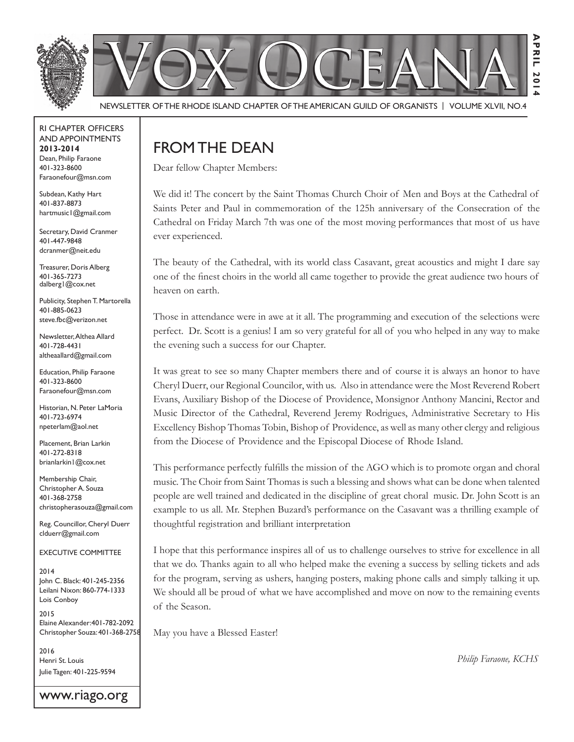

NEWSLETTER OF THE RHODE ISLAND CHAPTER OF THE AMERICAN GUILD OF ORGANISTS | VOLUME XLVII, NO.4

#### rI Chapter offICers aNd appoINtmeNts **2013-2014** Dean, Philip Faraone 401-323-8600 faraonefour@msn.com

Subdean, Kathy Hart 401-837-8873 hartmusic1@gmail.com

Secretary, David Cranmer 401-447-9848 dcranmer@neit.edu

Treasurer, Doris Alberg 401-365-7273 dalberg1@cox.net

Publicity, Stephen T. Martorella 401-885-0623 steve.fbc@verizon.net

Newsletter, Althea Allard 401-728-4431 altheaallard@gmail.com

**Education, Philip Faraone** 401-323-8600 faraonefour@msn.com

Historian, N. Peter LaMoria 401-723-6974 npeterlam@aol.net

Placement, Brian Larkin 401-272-8318 brianlarkin1@cox.net

Membership Chair, Christopher A. Souza 401-368-2758 christopherasouza@gmail.com

Reg. Councillor, Cheryl Duerr clduerr@gmail.com

eXeCutIVe CommIttee

2014 John C. Black: 401-245-2356 leilani Nixon: 860-774-1333 Lois Conboy

2015 Elaine Alexander: 401-782-2092 Christopher souza: 401-368-2758

2016 Henri St. Louis Julie Tagen: 401-225-9594

www.riago.org

## from the deaN

Dear fellow Chapter Members:

We did it! The concert by the Saint Thomas Church Choir of Men and Boys at the Cathedral of Saints Peter and Paul in commemoration of the 125h anniversary of the Consecration of the Cathedral on Friday March 7th was one of the most moving performances that most of us have ever experienced.

The beauty of the Cathedral, with its world class Casavant, great acoustics and might I dare say one of the finest choirs in the world all came together to provide the great audience two hours of heaven on earth.

Those in attendance were in awe at it all. The programming and execution of the selections were perfect. Dr. Scott is a genius! I am so very grateful for all of you who helped in any way to make the evening such a success for our Chapter.

It was great to see so many Chapter members there and of course it is always an honor to have Cheryl Duerr, our Regional Councilor, with us. Also in attendance were the Most Reverend Robert Evans, Auxiliary Bishop of the Diocese of Providence, Monsignor Anthony Mancini, Rector and Music Director of the Cathedral, Reverend Jeremy Rodrigues, Administrative Secretary to His Excellency Bishop Thomas Tobin, Bishop of Providence, as well as many other clergy and religious from the Diocese of Providence and the Episcopal Diocese of Rhode Island.

This performance perfectly fulfills the mission of the AGO which is to promote organ and choral music. The Choir from Saint Thomas is such a blessing and shows what can be done when talented people are well trained and dedicated in the discipline of great choral music. Dr. John Scott is an example to us all. Mr. Stephen Buzard's performance on the Casavant was a thrilling example of thoughtful registration and brilliant interpretation

I hope that this performance inspires all of us to challenge ourselves to strive for excellence in all that we do. Thanks again to all who helped make the evening a success by selling tickets and ads for the program, serving as ushers, hanging posters, making phone calls and simply talking it up. We should all be proud of what we have accomplished and move on now to the remaining events of the Season.

May you have a Blessed Easter!

*Philip Faraone, KCHS*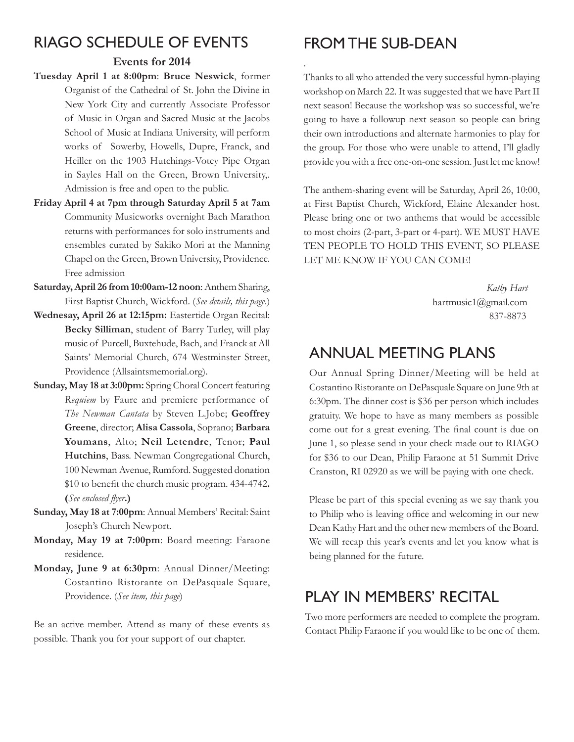## rIaGo sChedule of eVeNts

#### **Events for 2014**

- **Tuesday April 1 at 8:00pm**: **Bruce Neswick**, former Organist of the Cathedral of St. John the Divine in New York City and currently Associate Professor of Music in Organ and Sacred Music at the Jacobs School of Music at Indiana University, will perform works of Sowerby, Howells, Dupre, Franck, and Heiller on the 1903 Hutchings-Votey Pipe Organ in Sayles Hall on the Green, Brown University,. Admission is free and open to the public.
- **Friday April 4 at 7pm through Saturday April 5 at 7am**  Community Musicworks overnight Bach Marathon returns with performances for solo instruments and ensembles curated by Sakiko Mori at the Manning Chapel on the Green, Brown University, Providence. Free admission
- **Saturday, April 26 from 10:00am-12 noon**: Anthem Sharing, First Baptist Church, Wickford. (*See details, this page*.)
- Wednesay, April 26 at 12:15pm: Eastertide Organ Recital: **Becky Silliman**, student of Barry Turley, will play music of Purcell, Buxtehude, Bach, and Franck at All Saints' Memorial Church, 674 Westminster Street, Providence (Allsaintsmemorial.org).
- **Sunday, May 18 at 3:00pm:** Spring Choral Concert featuring *Requiem* by Faure and premiere performance of *The Newman Cantata* by Steven L.Jobe; **Geoffrey Greene**, director; **Alisa Cassola**, Soprano; **Barbara Youmans**, Alto; **Neil Letendre**, Tenor; **Paul Hutchins**, Bass. Newman Congregational Church, 100 Newman Avenue, Rumford. Suggested donation \$10 to benefit the church music program. 434-4742. **(See enclosed flyer.)**
- **Sunday, May 18 at 7:00pm**: Annual Members' Recital: Saint Joseph's Church Newport.
- **Monday, May 19 at 7:00pm**: Board meeting: Faraone residence.
- **Monday, June 9 at 6:30pm**: Annual Dinner/Meeting: Costantino Ristorante on DePasquale Square, Providence. (*See item, this page*)

Be an active member. Attend as many of these events as possible. Thank you for your support of our chapter.

### FROM THE SUB-DEAN

.

Thanks to all who attended the very successful hymn-playing workshop on March 22. It was suggested that we have Part II next season! Because the workshop was so successful, we're going to have a followup next season so people can bring their own introductions and alternate harmonies to play for the group. For those who were unable to attend, I'll gladly provide you with a free one-on-one session. Just let me know!

The anthem-sharing event will be Saturday, April 26, 10:00, at First Baptist Church, Wickford, Elaine Alexander host. Please bring one or two anthems that would be accessible to most choirs (2-part, 3-part or 4-part). WE MUST HAVE TEN PEOPLE TO HOLD THIS EVENT, SO PLEASE LET ME KNOW IF YOU CAN COME!

> Kathy Hart hartmusic1@gmail.com 837-8873

#### aNNual meetING plaNs

Our Annual Spring Dinner/Meeting will be held at Costantino Ristorante on DePasquale Square on June 9th at 6:30pm. The dinner cost is \$36 per person which includes gratuity. We hope to have as many members as possible come out for a great evening. The final count is due on June 1, so please send in your check made out to RIAGO for \$36 to our Dean, Philip Faraone at 51 Summit Drive Cranston, RI 02920 as we will be paying with one check.

Please be part of this special evening as we say thank you to Philip who is leaving office and welcoming in our new Dean Kathy Hart and the other new members of the Board. We will recap this year's events and let you know what is being planned for the future.

#### PLAY IN MEMBERS' RECITAL

Two more performers are needed to complete the program. Contact Philip Faraone if you would like to be one of them.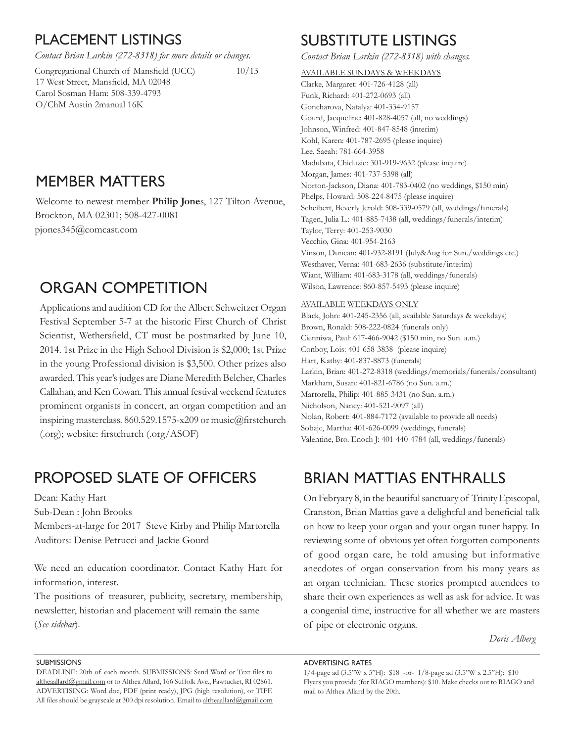#### plaCemeNt lIstINGs

*Contact Brian Larkin (272-8318) for more details or changes.*

 $Congregational Church of Mansfield (UCC)$  10/13 17 West Street, Mansfield, MA 02048 Carol Sosman Ham: 508-339-4793 O/ChM Austin 2manual 16K

## memBer matters

Welcome to newest member **Philip Jone**s, 127 Tilton Avenue, Brockton, MA 02301; 508-427-0081 pjones345@comcast.com

## ORGAN COMPETITION

Applications and audition CD for the Albert Schweitzer Organ Festival September 5-7 at the historic First Church of Christ Scientist, Wethersfield, CT must be postmarked by June 10, 2014. 1st Prize in the High School Division is \$2,000; 1st Prize in the young Professional division is  $$3,500$ . Other prizes also awarded. This year's judges are Diane Meredith Belcher, Charles Callahan, and Ken Cowan. This annual festival weekend features prominent organists in concert, an organ competition and an inspiring masterclass. 860.529.1575-x209 or music@firstchurch  $(corg)$ ; website: firstchurch  $(corg/ASOF)$ 

#### proposed slate of offICers

Dean: Kathy Hart

Sub-Dean : John Brooks

Members-at-large for 2017 Steve Kirby and Philip Martorella Auditors: Denise Petrucci and Jackie Gourd

We need an education coordinator. Contact Kathy Hart for information, interest.

The positions of treasurer, publicity, secretary, membership, newsletter, historian and placement will remain the same (*See sidebar*).

## **SUBSTITUTE LISTINGS**

*Contact Brian Larkin (272-8318) with changes.*

AVAILABLE SUNDAYS & WEEKDAYS Clarke, Margaret: 401-726-4128 (all) Funk, Richard: 401-272-0693 (all) Goncharova, Natalya: 401-334-9157 Gourd, Jacqueline: 401-828-4057 (all, no weddings) Johnson, Winfred: 401-847-8548 (interim) Kohl, Karen: 401-787-2695 (please inquire) Lee, Saeah: 781-664-3958 Madubata, Chiduzie: 301-919-9632 (please inquire) Morgan, James: 401-737-5398 (all) Norton-Jackson, Diana: 401-783-0402 (no weddings, \$150 min) Phelps, Howard: 508-224-8475 (please inquire) Scheibert, Beverly Jerold: 508-339-0579 (all, weddings/funerals) Tagen, Julia L.: 401-885-7438 (all, weddings/funerals/interim) Taylor, Terry: 401-253-9030 Vecchio, Gina: 401-954-2163 Vinson, Duncan: 401-932-8191 (July&Aug for Sun./weddings etc.) Westhaver, Verna: 401-683-2636 (substitute/interim) Wiant, William: 401-683-3178 (all, weddings/funerals) Wilson, Lawrence: 860-857-5493 (please inquire)

#### AVAILABLE WEEKDAYS ONLY

Black, John: 401-245-2356 (all, available Saturdays & weekdays) Brown, Ronald: 508-222-0824 (funerals only) Cienniwa, Paul: 617-466-9042 (\$150 min, no Sun. a.m.) Conboy, Lois: 401-658-3838 (please inquire) Hart, Kathy: 401-837-8873 (funerals) Larkin, Brian: 401-272-8318 (weddings/memorials/funerals/consultant) Markham, Susan: 401-821-6786 (no Sun. a.m.) Martorella, Philip: 401-885-3431 (no Sun. a.m.) Nicholson, Nancy: 401-521-9097 (all) Nolan, Robert: 401-884-7172 (available to provide all needs) Sobaje, Martha: 401-626-0099 (weddings, funerals) Valentine, Bro. Enoch J: 401-440-4784 (all, weddings/funerals)

#### BrIaN mattIas eNthralls

On Febryary 8, in the beautiful sanctuary of Trinity Episcopal, Cranston, Brian Mattias gave a delightful and beneficial talk on how to keep your organ and your organ tuner happy. In reviewing some of obvious yet often forgotten components of good organ care, he told amusing but informative anecdotes of organ conservation from his many years as an organ technician. These stories prompted attendees to share their own experiences as well as ask for advice. It was a congenial time, instructive for all whether we are masters of pipe or electronic organs.

*Doris Alberg*

#### **SUBMISSIONS**

DEADLINE: 20th of each month. SUBMISSIONS: Send Word or Text files to altheaallard@gmail.com or to Althea Allard, 166 Suffolk Ave., Pawtucket, RI 02861. ADVERTISING: Word doc, PDF (print ready), JPG (high resolution), or TIFF. All files should be grayscale at 300 dpi resolution. Email to altheaallard@gmail.com

#### adVertIsING rates

<sup>1/4-</sup>page ad (3.5"W x 5"H): \$18 -or- 1/8-page ad (3.5"W x 2.5"H): \$10 Flyers you provide (for RIAGO members): \$10. Make checks out to RIAGO and mail to Althea Allard by the 20th.